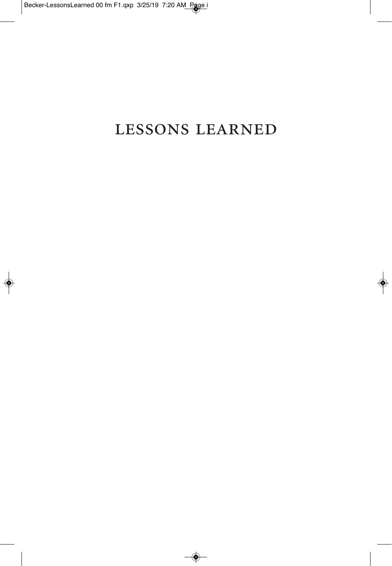## lessons learned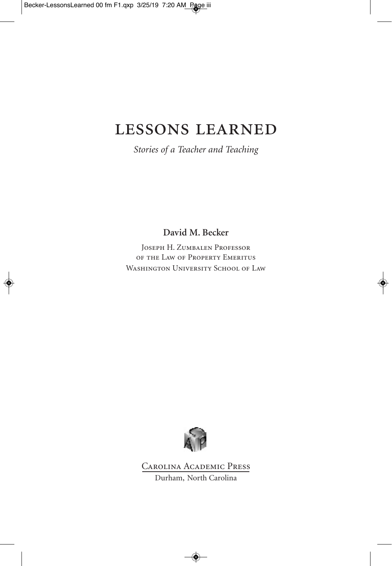## lessons learned

*Stories of a Teacher and Teaching*

**David M. Becker**

Joseph H. Zumbalen Professor of the Law of Property Emeritus WASHINGTON UNIVERSITY SCHOOL OF LAW



Carolina Academic Press Durham, North Carolina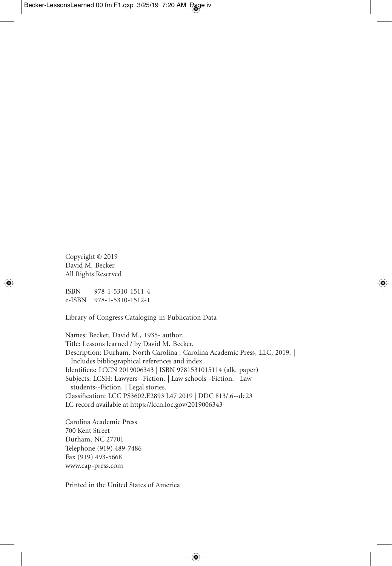Copyright © 2019 David M. Becker All Rights Reserved

ISBN 978-1-5310-1511-4 e-ISBN 978-1-5310-1512-1

Library of Congress Cataloging-in-Publication Data

Names: Becker, David M., 1935- author. Title: Lessons learned / by David M. Becker. Description: Durham, North Carolina : Carolina Academic Press, LLC, 2019. | Includes bibliographical references and index. Identifiers: LCCN 2019006343 | ISBN 9781531015114 (alk. paper) Subjects: LCSH: Lawyers--Fiction. | Law schools--Fiction. | Law students--Fiction. | Legal stories. Classification: LCC PS3602.E2893 L47 2019 | DDC 813/.6--dc23 LC record available at https://lccn.loc.gov/2019006343

Carolina Academic Press 700 Kent Street Durham, NC 27701 Telephone (919) 489-7486 Fax (919) 493-5668 www.cap-press.com

Printed in the United States of America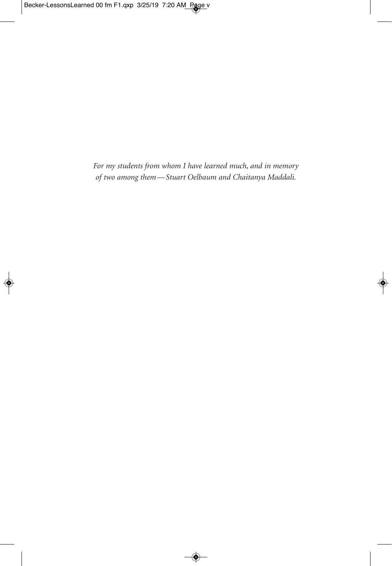*For my students from whom I have learned much, and in memory of two among them—Stuart Oelbaum and Chaitanya Maddali.*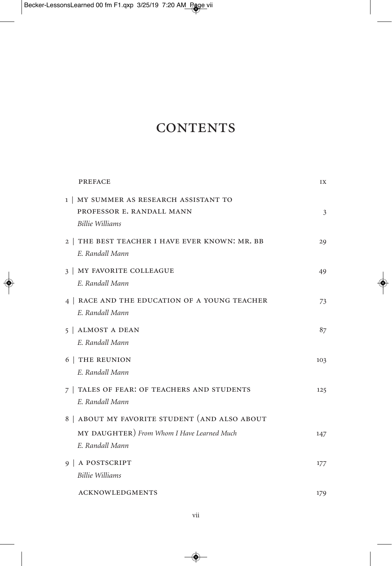## **CONTENTS**

| <b>PREFACE</b>                                                                         | IX  |
|----------------------------------------------------------------------------------------|-----|
| 1   MY SUMMER AS RESEARCH ASSISTANT TO<br>PROFESSOR E. RANDALL MANN<br>Billie Williams | 3   |
| 2   THE BEST TEACHER I HAVE EVER KNOWN: MR. BB<br>E. Randall Mann                      | 29  |
| 3   MY FAVORITE COLLEAGUE<br>E. Randall Mann                                           | 49  |
| 4   RACE AND THE EDUCATION OF A YOUNG TEACHER<br>E. Randall Mann                       | 73  |
| 5   ALMOST A DEAN<br>E. Randall Mann                                                   | 87  |
| 6   THE REUNION<br>E. Randall Mann                                                     | 103 |
| 7   TALES OF FEAR: OF TEACHERS AND STUDENTS<br>E. Randall Mann                         | 125 |
| 8   ABOUT MY FAVORITE STUDENT (AND ALSO ABOUT                                          |     |
| MY DAUGHTER) From Whom I Have Learned Much<br>E. Randall Mann                          | 147 |
| 9   A POSTSCRIPT<br>Billie Williams                                                    | 177 |
| <b>ACKNOWLEDGMENTS</b>                                                                 | 179 |